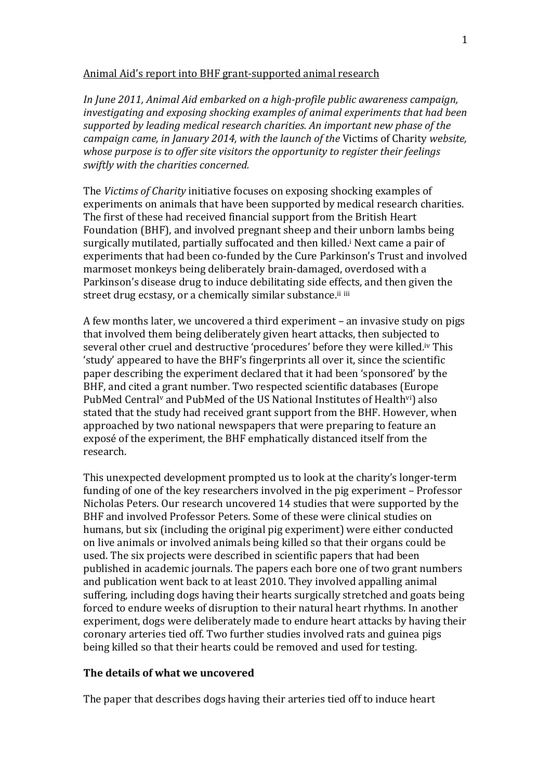#### Animal Aid's report into BHF grant-supported animal research

*In June 2011, Animal Aid embarked on a high-profile public awareness campaign, investigating and exposing shocking examples of animal experiments that had been supported by leading medical research charities. An important new phase of the campaign came, in January 2014, with the launch of the Victims of Charity website, whose purpose is to offer site visitors the opportunity to register their feelings swiftly with the charities concerned.* 

The *Victims of Charity* initiative focuses on exposing shocking examples of experiments on animals that have been supported by medical research charities. The first of these had received financial support from the British Heart Foundation (BHF), and involved pregnant sheep and their unborn lambs being surgically mutilated, partially suffocated and then killed.<sup>i</sup> Next came a pair of experiments that had been co-funded by the Cure Parkinson's Trust and involved marmoset monkeys being deliberately brain-damaged, overdosed with a Parkinson's disease drug to induce debilitating side effects, and then given the street drug ecstasy, or a chemically similar substance.<sup>ii iii</sup>

A few months later, we uncovered a third experiment – an invasive study on pigs that involved them being deliberately given heart attacks, then subjected to several other cruel and destructive 'procedures' before they were killed.<sup>iv</sup> This 'study' appeared to have the BHF's fingerprints all over it, since the scientific paper describing the experiment declared that it had been 'sponsored' by the BHF, and cited a grant number. Two respected scientific databases (Europe) PubMed Central<sup>v</sup> and PubMed of the US National Institutes of Health<sup>vi</sup>) also stated that the study had received grant support from the BHF. However, when approached by two national newspapers that were preparing to feature an exposé of the experiment, the BHF emphatically distanced itself from the research.!

This unexpected development prompted us to look at the charity's longer-term funding of one of the key researchers involved in the pig experiment – Professor Nicholas Peters. Our research uncovered 14 studies that were supported by the BHF and involved Professor Peters. Some of these were clinical studies on humans, but six (including the original pig experiment) were either conducted on live animals or involved animals being killed so that their organs could be used. The six projects were described in scientific papers that had been published in academic journals. The papers each bore one of two grant numbers and publication went back to at least 2010. They involved appalling animal suffering, including dogs having their hearts surgically stretched and goats being forced to endure weeks of disruption to their natural heart rhythms. In another experiment, dogs were deliberately made to endure heart attacks by having their coronary arteries tied off. Two further studies involved rats and guinea pigs being killed so that their hearts could be removed and used for testing.

#### **The details of what we uncovered**

The paper that describes dogs having their arteries tied off to induce heart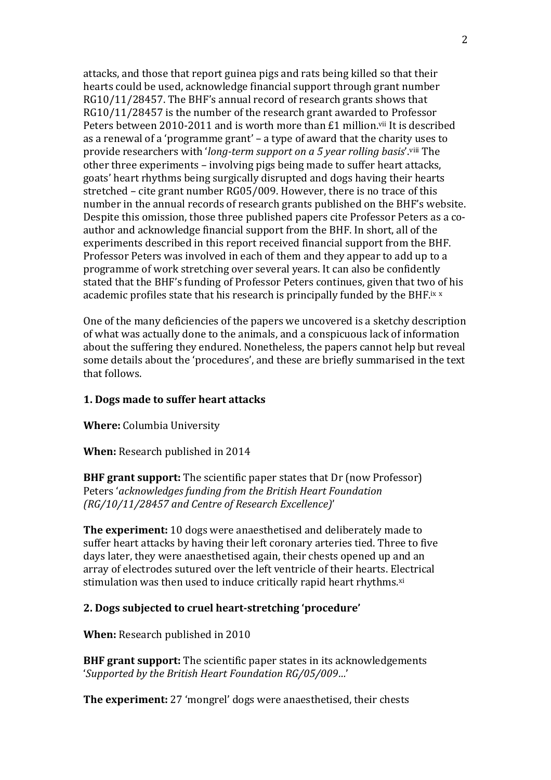attacks, and those that report guinea pigs and rats being killed so that their hearts could be used, acknowledge financial support through grant number RG10/11/28457. The BHF's annual record of research grants shows that RG10/11/28457 is the number of the research grant awarded to Professor Peters between 2010-2011 and is worth more than £1 million.<sup>vii</sup> It is described as a renewal of a 'programme grant' – a type of award that the charity uses to provide researchers with '*long-term support on a 5 year rolling basis*'.<sup>viii</sup> The other three experiments – involving pigs being made to suffer heart attacks, goats' heart rhythms being surgically disrupted and dogs having their hearts stretched – cite grant number RG05/009. However, there is no trace of this number in the annual records of research grants published on the BHF's website. Despite this omission, those three published papers cite Professor Peters as a coauthor and acknowledge financial support from the BHF. In short, all of the experiments described in this report received financial support from the BHF. Professor Peters was involved in each of them and they appear to add up to a programme of work stretching over several years. It can also be confidently stated that the BHF's funding of Professor Peters continues, given that two of his academic profiles state that his research is principally funded by the BHF.ix x

One of the many deficiencies of the papers we uncovered is a sketchy description of what was actually done to the animals, and a conspicuous lack of information about the suffering they endured. Nonetheless, the papers cannot help but reveal some details about the 'procedures', and these are briefly summarised in the text that!follows.

## **1. Dogs made to suffer heart attacks**

**Where:** Columbia University

**When:** Research published in 2014

**BHF grant support:** The scientific paper states that Dr (now Professor) Peters 'acknowledges funding from the British Heart Foundation *(RG/10/11/28457 and Centre of Research Excellence)'* 

**The experiment:** 10 dogs were anaesthetised and deliberately made to suffer heart attacks by having their left coronary arteries tied. Three to five days later, they were anaesthetised again, their chests opened up and an array of electrodes sutured over the left ventricle of their hearts. Electrical stimulation was then used to induce critically rapid heart rhythms.xi

## 2. Dogs subjected to cruel heart-stretching 'procedure'

**When:** Research published in 2010

**BHF grant support:** The scientific paper states in its acknowledgements 'Supported by the British Heart Foundation RG/05/009...'

**The experiment:** 27 'mongrel' dogs were anaesthetised, their chests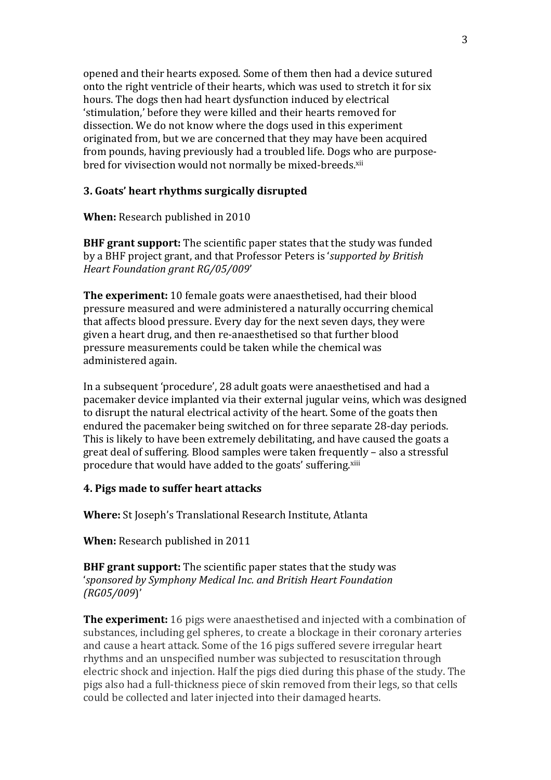opened and their hearts exposed. Some of them then had a device sutured onto the right ventricle of their hearts, which was used to stretch it for six hours. The dogs then had heart dysfunction induced by electrical 'stimulation,' before they were killed and their hearts removed for dissection. We do not know where the dogs used in this experiment originated from, but we are concerned that they may have been acquired from pounds, having previously had a troubled life. Dogs who are purposebred for vivisection would not normally be mixed-breeds.<sup>xii</sup>

# **3. Goats' heart rhythms surgically disrupted**

**When:** Research published in 2010

**BHF grant support:** The scientific paper states that the study was funded by a BHF project grant, and that Professor Peters is '*supported by British Heart!Foundation!grant!RG/05/009*'

**The experiment:** 10 female goats were anaesthetised, had their blood pressure measured and were administered a naturally occurring chemical that affects blood pressure. Every day for the next seven days, they were given a heart drug, and then re-anaesthetised so that further blood pressure measurements could be taken while the chemical was administered again.

In a subsequent 'procedure', 28 adult goats were anaesthetised and had a pacemaker device implanted via their external jugular veins, which was designed to disrupt the natural electrical activity of the heart. Some of the goats then endured the pacemaker being switched on for three separate 28-day periods. This is likely to have been extremely debilitating, and have caused the goats a great deal of suffering. Blood samples were taken frequently – also a stressful procedure that would have added to the goats' suffering.xiii

#### **4. Pigs made to suffer heart attacks**

**Where:** St Joseph's Translational Research Institute, Atlanta

**When:** Research published in 2011

**BHF grant support:** The scientific paper states that the study was '*sponsored!by!Symphony!Medical!Inc.!and!British!Heart!Foundation! (RG05/009*)'

**The experiment:** 16 pigs were anaesthetised and injected with a combination of substances, including gel spheres, to create a blockage in their coronary arteries and cause a heart attack. Some of the 16 pigs suffered severe irregular heart rhythms and an unspecified number was subjected to resuscitation through electric shock and injection. Half the pigs died during this phase of the study. The pigs also had a full-thickness piece of skin removed from their legs, so that cells could be collected and later injected into their damaged hearts.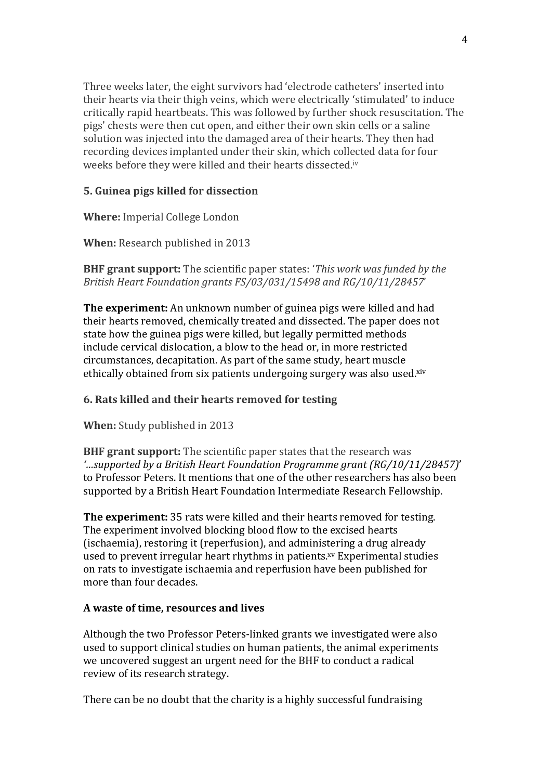Three weeks later, the eight survivors had 'electrode catheters' inserted into their hearts via their thigh veins, which were electrically 'stimulated' to induce critically rapid heartbeats. This was followed by further shock resuscitation. The pigs' chests were then cut open, and either their own skin cells or a saline solution was injected into the damaged area of their hearts. They then had recording devices implanted under their skin, which collected data for four weeks before they were killed and their hearts dissected.iv

# **5. Guinea pigs killed for dissection**

**Where:** Imperial College London

**When:** Research published in 2013

**BHF grant support:** The scientific paper states: '*This work was funded by the British!Heart!Foundation!grants!FS/03/031/15498!and!RG/10/11/28457*'

**The experiment:** An unknown number of guinea pigs were killed and had their hearts removed, chemically treated and dissected. The paper does not state how the guinea pigs were killed, but legally permitted methods include cervical dislocation, a blow to the head or, in more restricted circumstances, decapitation. As part of the same study, heart muscle ethically obtained from six patients undergoing surgery was also used.xiv

# **6. Rats killed and their hearts removed for testing**

**When:** Study published in 2013

**BHF grant support:** The scientific paper states that the research was *'…supported!by!a!British!Heart!Foundation!Programme!grant!(RG/10/11/28457)*'! to Professor Peters. It mentions that one of the other researchers has also been supported by a British Heart Foundation Intermediate Research Fellowship.

**The experiment:** 35 rats were killed and their hearts removed for testing. The experiment involved blocking blood flow to the excised hearts (ischaemia), restoring it (reperfusion), and administering a drug already used to prevent irregular heart rhythms in patients.<sup>xv</sup> Experimental studies on rats to investigate ischaemia and reperfusion have been published for more than four decades.

## **A!waste!of!time,!resources!and!lives**

Although the two Professor Peters-linked grants we investigated were also used to support clinical studies on human patients, the animal experiments we uncovered suggest an urgent need for the BHF to conduct a radical review of its research strategy.

There can be no doubt that the charity is a highly successful fundraising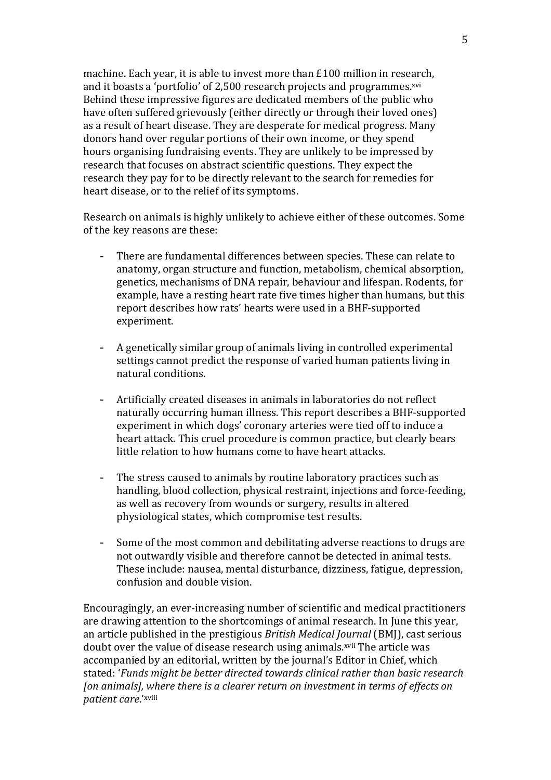machine. Each year, it is able to invest more than  $£100$  million in research, and it boasts a 'portfolio' of 2,500 research projects and programmes.<sup>xvi</sup> Behind these impressive figures are dedicated members of the public who have often suffered grievously (either directly or through their loved ones) as a result of heart disease. They are desperate for medical progress. Many donors hand over regular portions of their own income, or they spend hours organising fundraising events. They are unlikely to be impressed by research that focuses on abstract scientific questions. They expect the research they pay for to be directly relevant to the search for remedies for heart disease, or to the relief of its symptoms.

Research on animals is highly unlikely to achieve either of these outcomes. Some of the key reasons are these:

- There are fundamental differences between species. These can relate to anatomy, organ structure and function, metabolism, chemical absorption, genetics, mechanisms of DNA repair, behaviour and lifespan. Rodents, for example, have a resting heart rate five times higher than humans, but this report describes how rats' hearts were used in a BHF-supported experiment.
- A genetically similar group of animals living in controlled experimental settings cannot predict the response of varied human patients living in natural conditions.
- Artificially created diseases in animals in laboratories do not reflect naturally occurring human illness. This report describes a BHF-supported experiment in which dogs' coronary arteries were tied off to induce a heart attack. This cruel procedure is common practice, but clearly bears little relation to how humans come to have heart attacks.
- The stress caused to animals by routine laboratory practices such as handling, blood collection, physical restraint, injections and force-feeding, as well as recovery from wounds or surgery, results in altered physiological states, which compromise test results.
- Some of the most common and debilitating adverse reactions to drugs are not outwardly visible and therefore cannot be detected in animal tests. These include: nausea, mental disturbance, dizziness, fatigue, depression, confusion and double vision.

Encouragingly, an ever-increasing number of scientific and medical practitioners are drawing attention to the shortcomings of animal research. In June this year, an article published in the prestigious *British Medical Journal* (BMJ), cast serious doubt over the value of disease research using animals.<sup>xvii</sup> The article was accompanied by an editorial, written by the journal's Editor in Chief, which stated: '*Funds might be better directed towards clinical rather than basic research [on animals], where there is a clearer return on investment in terms of effects on patient care.'xviii*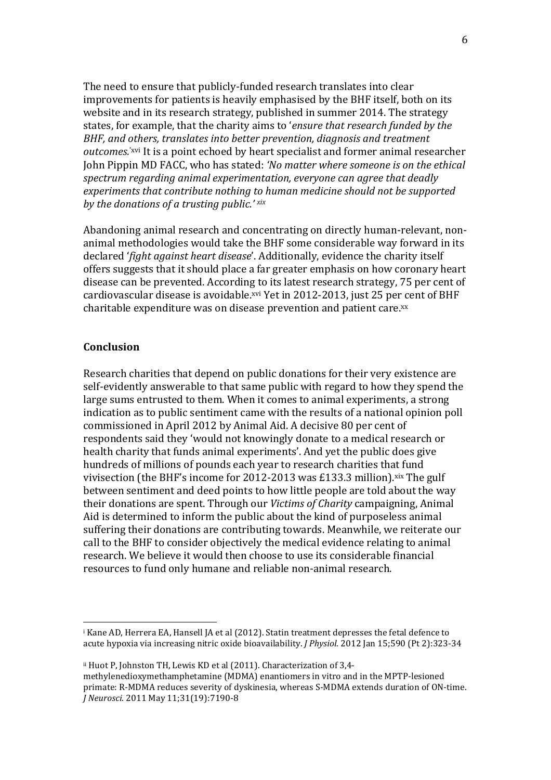The need to ensure that publicly-funded research translates into clear improvements for patients is heavily emphasised by the BHF itself, both on its website and in its research strategy, published in summer 2014. The strategy states, for example, that the charity aims to '*ensure that research funded by the BHF, and others, translates into better prevention, diagnosis and treatment outcomes.*<sup>'xvi</sup> It is a point echoed by heart specialist and former animal researcher John Pippin MD FACC, who has stated: 'No matter where someone is on the ethical spectrum regarding animal experimentation, everyone can agree that deadly *experiments that contribute nothing to human medicine should not be supported by the donations of a trusting public.' xix* 

Abandoning animal research and concentrating on directly human-relevant, nonanimal methodologies would take the BHF some considerable way forward in its declared '*fight against heart disease'*. Additionally, evidence the charity itself offers suggests that it should place a far greater emphasis on how coronary heart disease can be prevented. According to its latest research strategy, 75 per cent of cardiovascular disease is avoidable.<sup>xvi</sup> Yet in 2012-2013, just 25 per cent of BHF charitable expenditure was on disease prevention and patient care.xx

#### **Conclusion**

!!!!!!!!!!!!!!!!!!!!!!!!!!!!!!!!!!!!!!!!!!!!!!!!!!!!!!!

Research charities that depend on public donations for their very existence are self-evidently answerable to that same public with regard to how they spend the large sums entrusted to them. When it comes to animal experiments, a strong indication as to public sentiment came with the results of a national opinion poll commissioned in April 2012 by Animal Aid. A decisive 80 per cent of respondents said they 'would not knowingly donate to a medical research or health charity that funds animal experiments'. And yet the public does give hundreds of millions of pounds each year to research charities that fund vivisection (the BHF's income for 2012-2013 was £133.3 million). $xix$  The gulf between sentiment and deed points to how little people are told about the way their donations are spent. Through our *Victims of Charity* campaigning. Animal Aid is determined to inform the public about the kind of purposeless animal suffering their donations are contributing towards. Meanwhile, we reiterate our call to the BHF to consider objectively the medical evidence relating to animal research. We believe it would then choose to use its considerable financial resources to fund only humane and reliable non-animal research.

<sup>&</sup>lt;sup>i</sup> Kane AD, Herrera EA, Hansell JA et al (2012). Statin treatment depresses the fetal defence to acute hypoxia via increasing nitric oxide bioavailability. *J Physiol.* 2012 Jan 15;590 (Pt 2):323-34

<sup>&</sup>lt;sup>ii</sup> Huot P. Johnston TH, Lewis KD et al (2011). Characterization of 3.4methylenedioxymethamphetamine (MDMA) enantiomers in vitro and in the MPTP-lesioned primate: R-MDMA reduces severity of dyskinesia, whereas S-MDMA extends duration of ON-time. *J. Neurosci.* 2011 May 11;31(19):7190-8